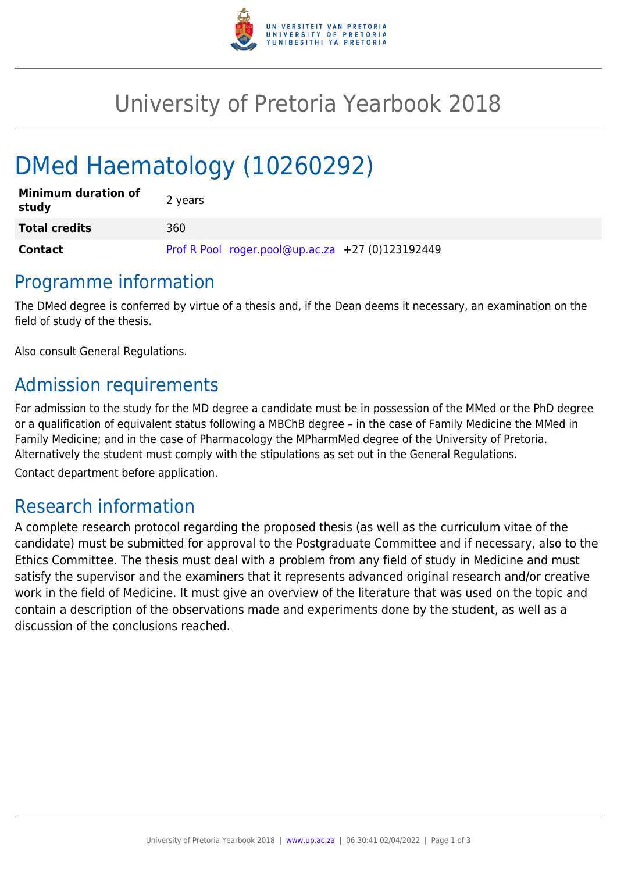

# University of Pretoria Yearbook 2018

# DMed Haematology (10260292)

| <b>Minimum duration of</b><br>study | 2 years                                          |
|-------------------------------------|--------------------------------------------------|
| <b>Total credits</b>                | 360                                              |
| Contact                             | Prof R Pool roger.pool@up.ac.za +27 (0)123192449 |

## Programme information

The DMed degree is conferred by virtue of a thesis and, if the Dean deems it necessary, an examination on the field of study of the thesis.

Also consult General Regulations.

# Admission requirements

For admission to the study for the MD degree a candidate must be in possession of the MMed or the PhD degree or a qualification of equivalent status following a MBChB degree – in the case of Family Medicine the MMed in Family Medicine; and in the case of Pharmacology the MPharmMed degree of the University of Pretoria. Alternatively the student must comply with the stipulations as set out in the General Regulations.

Contact department before application.

## Research information

A complete research protocol regarding the proposed thesis (as well as the curriculum vitae of the candidate) must be submitted for approval to the Postgraduate Committee and if necessary, also to the Ethics Committee. The thesis must deal with a problem from any field of study in Medicine and must satisfy the supervisor and the examiners that it represents advanced original research and/or creative work in the field of Medicine. It must give an overview of the literature that was used on the topic and contain a description of the observations made and experiments done by the student, as well as a discussion of the conclusions reached.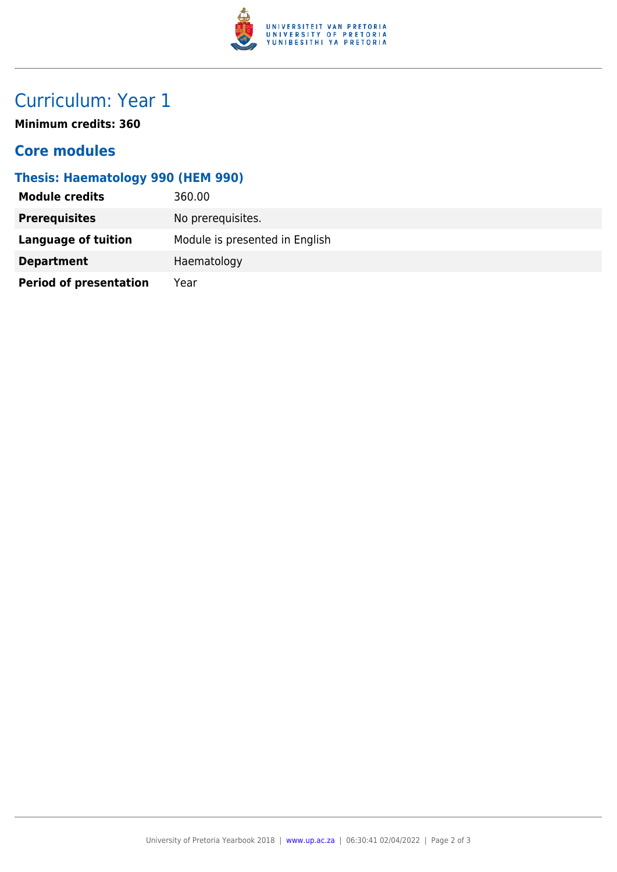

# Curriculum: Year 1

**Minimum credits: 360**

#### **Core modules**

### **Thesis: Haematology 990 (HEM 990)**

| <b>Module credits</b>         | 360.00                         |
|-------------------------------|--------------------------------|
| <b>Prerequisites</b>          | No prerequisites.              |
| Language of tuition           | Module is presented in English |
| <b>Department</b>             | Haematology                    |
| <b>Period of presentation</b> | Year                           |